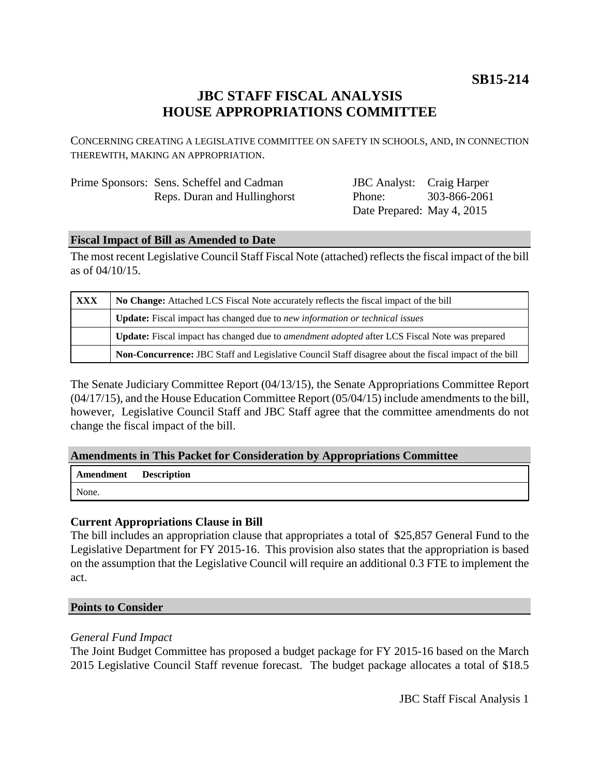**SB15-214**

## **JBC STAFF FISCAL ANALYSIS HOUSE APPROPRIATIONS COMMITTEE**

CONCERNING CREATING A LEGISLATIVE COMMITTEE ON SAFETY IN SCHOOLS, AND, IN CONNECTION THEREWITH, MAKING AN APPROPRIATION.

| Prime Sponsors: Sens. Scheffel and Cadman |
|-------------------------------------------|
| Reps. Duran and Hullinghorst              |

JBC Analyst: Craig Harper Phone: Date Prepared: May 4, 2015 303-866-2061

#### **Fiscal Impact of Bill as Amended to Date**

The most recent Legislative Council Staff Fiscal Note (attached) reflects the fiscal impact of the bill as of 04/10/15.

| XXX | No Change: Attached LCS Fiscal Note accurately reflects the fiscal impact of the bill                       |  |
|-----|-------------------------------------------------------------------------------------------------------------|--|
|     | <b>Update:</b> Fiscal impact has changed due to new information or technical issues                         |  |
|     | <b>Update:</b> Fiscal impact has changed due to <i>amendment adopted</i> after LCS Fiscal Note was prepared |  |
|     | Non-Concurrence: JBC Staff and Legislative Council Staff disagree about the fiscal impact of the bill       |  |

The Senate Judiciary Committee Report (04/13/15), the Senate Appropriations Committee Report (04/17/15), and the House Education Committee Report (05/04/15) include amendments to the bill, however, Legislative Council Staff and JBC Staff agree that the committee amendments do not change the fiscal impact of the bill.

#### **Amendments in This Packet for Consideration by Appropriations Committee**

| Amendment | <b>Description</b> |
|-----------|--------------------|
| None.     |                    |

### **Current Appropriations Clause in Bill**

The bill includes an appropriation clause that appropriates a total of \$25,857 General Fund to the Legislative Department for FY 2015-16. This provision also states that the appropriation is based on the assumption that the Legislative Council will require an additional 0.3 FTE to implement the act.

#### **Points to Consider**

### *General Fund Impact*

The Joint Budget Committee has proposed a budget package for FY 2015-16 based on the March 2015 Legislative Council Staff revenue forecast. The budget package allocates a total of \$18.5